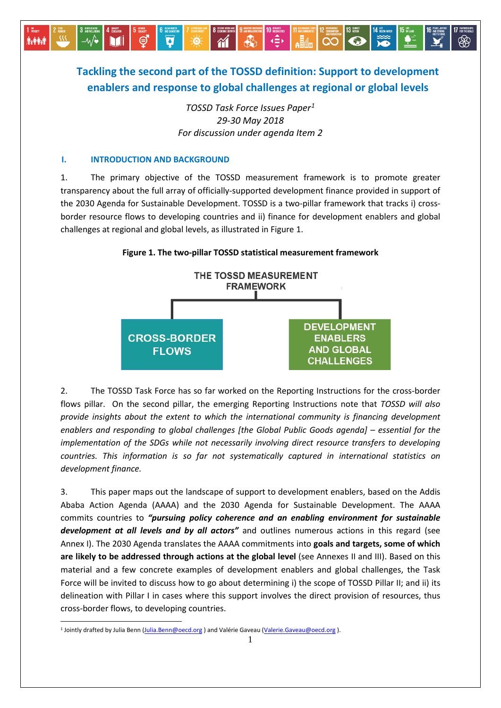# **Tackling the second part of the TOSSD definition: Support to development enablers and response to global challenges at regional or global levels**

B

 $\gamma$ 

13 ACTION

**ORDER TO A BARBAS CO** 

*TOSSD Task Force Issues Paper[1](#page-0-0) 29-30 May 2018 For discussion under agenda Item 2*

## **I. INTRODUCTION AND BACKGROUND**

⊜

**İvêril** 

Ø

 $\ddot{0}$ 

1. The primary objective of the TOSSD measurement framework is to promote greater transparency about the full array of officially-supported development finance provided in support of the 2030 Agenda for Sustainable Development. TOSSD is a two-pillar framework that tracks i) crossborder resource flows to developing countries and ii) finance for development enablers and global challenges at regional and global levels, as illustrated in Figure 1.

**Figure 1. The two-pillar TOSSD statistical measurement framework**



2. The TOSSD Task Force has so far worked on the Reporting Instructions for the cross-border flows pillar. On the second pillar, the emerging Reporting Instructions note that *TOSSD will also provide insights about the extent to which the international community is financing development enablers and responding to global challenges [the Global Public Goods agenda] – essential for the implementation of the SDGs while not necessarily involving direct resource transfers to developing countries. This information is so far not systematically captured in international statistics on development finance.* 

3. This paper maps out the landscape of support to development enablers, based on the Addis Ababa Action Agenda (AAAA) and the 2030 Agenda for Sustainable Development. The AAAA commits countries to *"pursuing policy coherence and an enabling environment for sustainable development at all levels and by all actors"* and outlines numerous actions in this regard (see Annex I). The 2030 Agenda translates the AAAA commitments into **goals and targets, some of which are likely to be addressed through actions at the global level** (see Annexes II and III). Based on this material and a few concrete examples of development enablers and global challenges, the Task Force will be invited to discuss how to go about determining i) the scope of TOSSD Pillar II; and ii) its delineation with Pillar I in cases where this support involves the direct provision of resources, thus cross-border flows, to developing countries.

<u>.</u>

<span id="page-0-0"></span><sup>1</sup> Jointly drafted by Julia Benn [\(Julia.Benn@oecd.org](mailto:Julia.Benn@oecd.org) ) and Valérie Gaveau [\(Valerie.Gaveau@oecd.org](mailto:Valerie.Gaveau@oecd.org) ).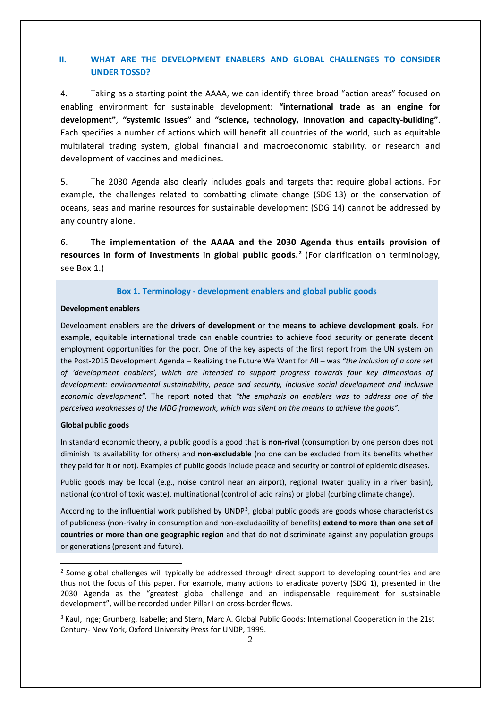## **II. WHAT ARE THE DEVELOPMENT ENABLERS AND GLOBAL CHALLENGES TO CONSIDER UNDER TOSSD?**

4. Taking as a starting point the AAAA, we can identify three broad "action areas" focused on enabling environment for sustainable development: **"international trade as an engine for development"**, **"systemic issues"** and **"science, technology, innovation and capacity-building"**. Each specifies a number of actions which will benefit all countries of the world, such as equitable multilateral trading system, global financial and macroeconomic stability, or research and development of vaccines and medicines.

5. The 2030 Agenda also clearly includes goals and targets that require global actions. For example, the challenges related to combatting climate change (SDG 13) or the conservation of oceans, seas and marine resources for sustainable development (SDG 14) cannot be addressed by any country alone.

6. **The implementation of the AAAA and the 2030 Agenda thus entails provision of resources in form of investments in global public goods.[2](#page-1-0)** (For clarification on terminology, see Box 1.)

#### **Box 1. Terminology - development enablers and global public goods**

#### **Development enablers**

Development enablers are the **drivers of development** or the **means to achieve development goals**. For example, equitable international trade can enable countries to achieve food security or generate decent employment opportunities for the poor. One of the key aspects of the first report from the UN system on the Post-2015 Development Agenda – Realizing the Future We Want for All – was *"the inclusion of a core set of 'development enablers', which are intended to support progress towards four key dimensions of development: environmental sustainability, peace and security, inclusive social development and inclusive economic development".* The report noted that *"the emphasis on enablers was to address one of the perceived weaknesses of the MDG framework, which was silent on the means to achieve the goals".*

#### **Global public goods**

<u>.</u>

In standard economic theory, a public good is a good that is **non-rival** (consumption by one person does not diminish its availability for others) and **non-excludable** (no one can be excluded from its benefits whether they paid for it or not). Examples of public goods include peace and security or control of epidemic diseases.

Public goods may be local (e.g., noise control near an airport), regional (water quality in a river basin), national (control of toxic waste), multinational (control of acid rains) or global (curbing climate change).

According to the influential work published by UNDP<sup>[3](#page-1-1)</sup>, global public goods are goods whose characteristics of publicness (non-rivalry in consumption and non-excludability of benefits) **extend to more than one set of countries or more than one geographic region** and that do not discriminate against any population groups or generations (present and future).

<span id="page-1-0"></span><sup>&</sup>lt;sup>2</sup> Some global challenges will typically be addressed through direct support to developing countries and are thus not the focus of this paper. For example, many actions to eradicate poverty (SDG 1), presented in the 2030 Agenda as the "greatest global challenge and an indispensable requirement for sustainable development", will be recorded under Pillar I on cross-border flows.

<span id="page-1-1"></span><sup>&</sup>lt;sup>3</sup> Kaul, Inge; Grunberg, Isabelle; and Stern, Marc A. Global Public Goods: International Cooperation in the 21st Century- New York, Oxford University Press for UNDP, 1999.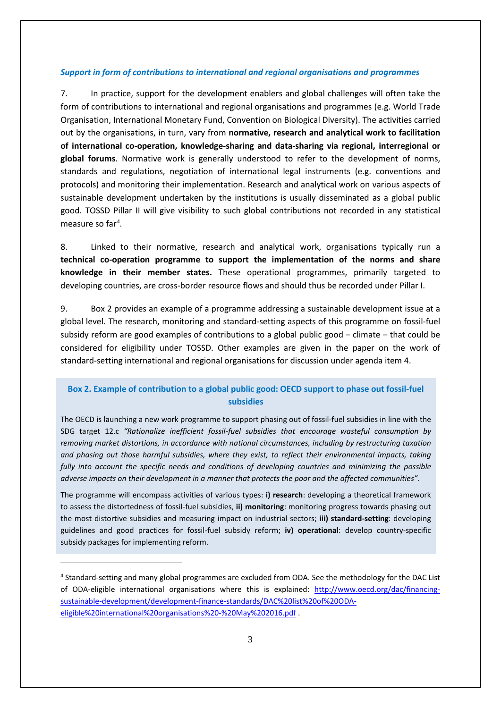## *Support in form of contributions to international and regional organisations and programmes*

7. In practice, support for the development enablers and global challenges will often take the form of contributions to international and regional organisations and programmes (e.g. World Trade Organisation, International Monetary Fund, Convention on Biological Diversity). The activities carried out by the organisations, in turn, vary from **normative, research and analytical work to facilitation of international co-operation, knowledge-sharing and data-sharing via regional, interregional or global forums**. Normative work is generally understood to refer to the development of norms, standards and regulations, negotiation of international legal instruments (e.g. conventions and protocols) and monitoring their implementation. Research and analytical work on various aspects of sustainable development undertaken by the institutions is usually disseminated as a global public good. TOSSD Pillar II will give visibility to such global contributions not recorded in any statistical measure so far<sup>[4](#page-2-0)</sup>.

8. Linked to their normative, research and analytical work, organisations typically run a **technical co-operation programme to support the implementation of the norms and share knowledge in their member states.** These operational programmes, primarily targeted to developing countries, are cross-border resource flows and should thus be recorded under Pillar I.

9. Box 2 provides an example of a programme addressing a sustainable development issue at a global level. The research, monitoring and standard-setting aspects of this programme on fossil-fuel subsidy reform are good examples of contributions to a global public good – climate – that could be considered for eligibility under TOSSD. Other examples are given in the paper on the work of standard-setting international and regional organisations for discussion under agenda item 4.

## **Box 2. Example of contribution to a global public good: OECD support to phase out fossil-fuel subsidies**

The OECD is launching a new work programme to support phasing out of fossil-fuel subsidies in line with the SDG target 12.c *"Rationalize inefficient fossil-fuel subsidies that encourage wasteful consumption by removing market distortions, in accordance with national circumstances, including by restructuring taxation and phasing out those harmful subsidies, where they exist, to reflect their environmental impacts, taking fully into account the specific needs and conditions of developing countries and minimizing the possible adverse impacts on their development in a manner that protects the poor and the affected communities".*

The programme will encompass activities of various types: **i) research**: developing a theoretical framework to assess the distortedness of fossil-fuel subsidies, **ii) monitoring**: monitoring progress towards phasing out the most distortive subsidies and measuring impact on industrial sectors; **iii) standard-setting**: developing guidelines and good practices for fossil-fuel subsidy reform; **iv) operational**: develop country-specific subsidy packages for implementing reform.

<u>.</u>

<span id="page-2-0"></span><sup>4</sup> Standard-setting and many global programmes are excluded from ODA. See the methodology for the DAC List of ODA-eligible international organisations where this is explained: [http://www.oecd.org/dac/financing](http://www.oecd.org/dac/financing-sustainable-development/development-finance-standards/DAC%20list%20of%20ODA-eligible%20international%20organisations%20-%20May%202016.pdf)[sustainable-development/development-finance-standards/DAC%20list%20of%20ODA](http://www.oecd.org/dac/financing-sustainable-development/development-finance-standards/DAC%20list%20of%20ODA-eligible%20international%20organisations%20-%20May%202016.pdf)[eligible%20international%20organisations%20-%20May%202016.pdf](http://www.oecd.org/dac/financing-sustainable-development/development-finance-standards/DAC%20list%20of%20ODA-eligible%20international%20organisations%20-%20May%202016.pdf) .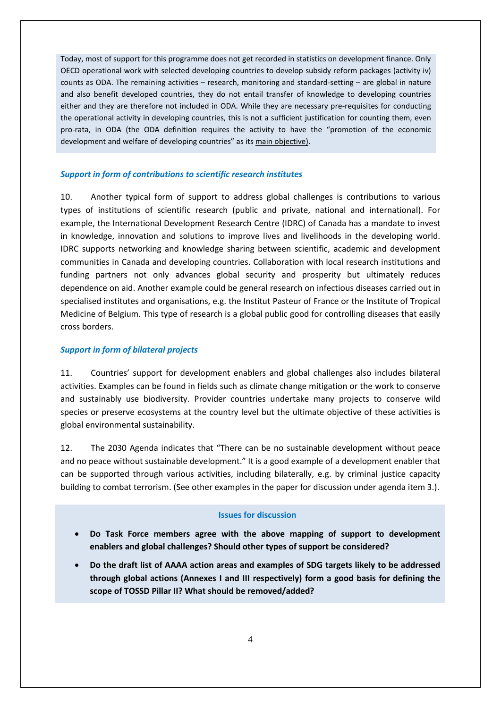Today, most of support for this programme does not get recorded in statistics on development finance. Only OECD operational work with selected developing countries to develop subsidy reform packages (activity iv) counts as ODA. The remaining activities – research, monitoring and standard-setting – are global in nature and also benefit developed countries, they do not entail transfer of knowledge to developing countries either and they are therefore not included in ODA. While they are necessary pre-requisites for conducting the operational activity in developing countries, this is not a sufficient justification for counting them, even pro-rata, in ODA (the ODA definition requires the activity to have the "promotion of the economic development and welfare of developing countries" as its main objective).

#### *Support in form of contributions to scientific research institutes*

10. Another typical form of support to address global challenges is contributions to various types of institutions of scientific research (public and private, national and international). For example, the International Development Research Centre (IDRC) of Canada has a mandate to invest in knowledge, innovation and solutions to improve lives and livelihoods in the developing world. IDRC supports networking and knowledge sharing between scientific, academic and development communities in Canada and developing countries. Collaboration with local research institutions and funding partners not only advances global security and prosperity but ultimately reduces dependence on aid. Another example could be general research on infectious diseases carried out in specialised institutes and organisations, e.g. the Institut Pasteur of France or the Institute of Tropical Medicine of Belgium. This type of research is a global public good for controlling diseases that easily cross borders.

#### *Support in form of bilateral projects*

11. Countries' support for development enablers and global challenges also includes bilateral activities. Examples can be found in fields such as climate change mitigation or the work to conserve and sustainably use biodiversity. Provider countries undertake many projects to conserve wild species or preserve ecosystems at the country level but the ultimate objective of these activities is global environmental sustainability.

12. The 2030 Agenda indicates that "There can be no sustainable development without peace and no peace without sustainable development." It is a good example of a development enabler that can be supported through various activities, including bilaterally, e.g. by criminal justice capacity building to combat terrorism. (See other examples in the paper for discussion under agenda item 3.).

#### **Issues for discussion**

- **Do Task Force members agree with the above mapping of support to development enablers and global challenges? Should other types of support be considered?**
- **Do the draft list of AAAA action areas and examples of SDG targets likely to be addressed through global actions (Annexes I and III respectively) form a good basis for defining the scope of TOSSD Pillar II? What should be removed/added?**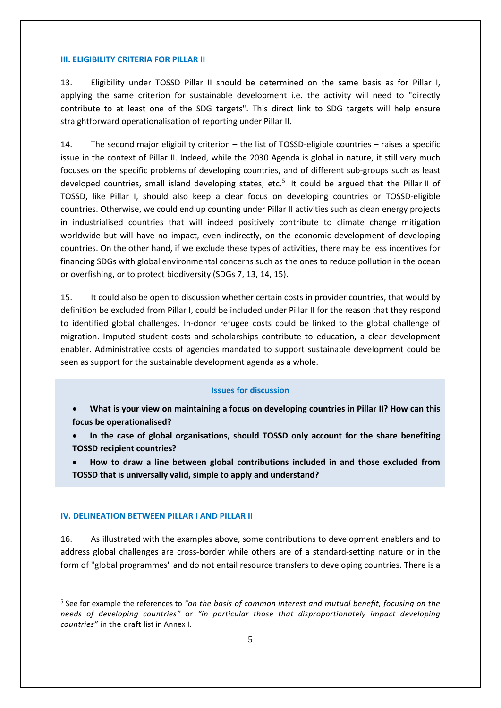## **III. ELIGIBILITY CRITERIA FOR PILLAR II**

13. Eligibility under TOSSD Pillar II should be determined on the same basis as for Pillar I, applying the same criterion for sustainable development i.e. the activity will need to "directly contribute to at least one of the SDG targets". This direct link to SDG targets will help ensure straightforward operationalisation of reporting under Pillar II.

14. The second major eligibility criterion – the list of TOSSD-eligible countries – raises a specific issue in the context of Pillar II. Indeed, while the 2030 Agenda is global in nature, it still very much focuses on the specific problems of developing countries, and of different sub-groups such as least developed countries, small island developing states, etc.<sup>[5](#page-4-0)</sup> It could be argued that the Pillar II of TOSSD, like Pillar I, should also keep a clear focus on developing countries or TOSSD-eligible countries. Otherwise, we could end up counting under Pillar II activities such as clean energy projects in industrialised countries that will indeed positively contribute to climate change mitigation worldwide but will have no impact, even indirectly, on the economic development of developing countries. On the other hand, if we exclude these types of activities, there may be less incentives for financing SDGs with global environmental concerns such as the ones to reduce pollution in the ocean or overfishing, or to protect biodiversity (SDGs 7, 13, 14, 15).

15. It could also be open to discussion whether certain costs in provider countries, that would by definition be excluded from Pillar I, could be included under Pillar II for the reason that they respond to identified global challenges. In-donor refugee costs could be linked to the global challenge of migration. Imputed student costs and scholarships contribute to education, a clear development enabler. Administrative costs of agencies mandated to support sustainable development could be seen as support for the sustainable development agenda as a whole.

## **Issues for discussion**

- **What is your view on maintaining a focus on developing countries in Pillar II? How can this focus be operationalised?**
- **In the case of global organisations, should TOSSD only account for the share benefiting TOSSD recipient countries?**
- **How to draw a line between global contributions included in and those excluded from TOSSD that is universally valid, simple to apply and understand?**

#### **IV. DELINEATION BETWEEN PILLAR I AND PILLAR II**

16. As illustrated with the examples above, some contributions to development enablers and to address global challenges are cross-border while others are of a standard-setting nature or in the form of "global programmes" and do not entail resource transfers to developing countries. There is a

<span id="page-4-0"></span> <sup>5</sup> See for example the references to *"on the basis of common interest and mutual benefit, focusing on the needs of developing countries"* or *"in particular those that disproportionately impact developing countries"* in the draft list in Annex I.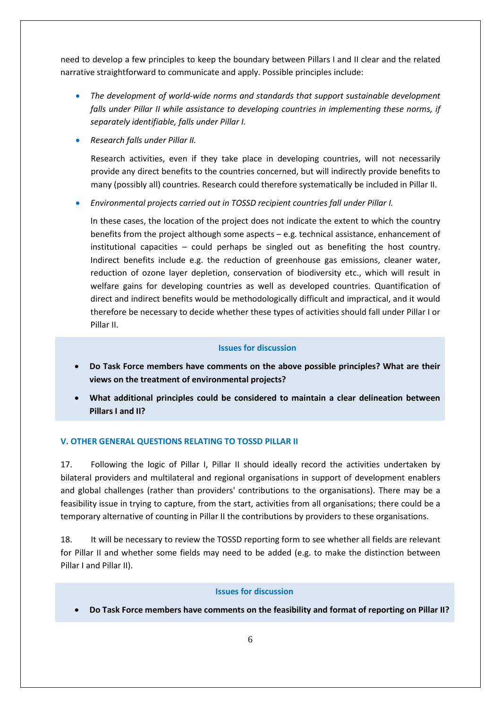need to develop a few principles to keep the boundary between Pillars I and II clear and the related narrative straightforward to communicate and apply. Possible principles include:

- *The development of world-wide norms and standards that support sustainable development falls under Pillar II while assistance to developing countries in implementing these norms, if separately identifiable, falls under Pillar I.*
- *Research falls under Pillar II.*

Research activities, even if they take place in developing countries, will not necessarily provide any direct benefits to the countries concerned, but will indirectly provide benefits to many (possibly all) countries. Research could therefore systematically be included in Pillar II.

• *Environmental projects carried out in TOSSD recipient countries fall under Pillar I.* 

In these cases, the location of the project does not indicate the extent to which the country benefits from the project although some aspects – e.g. technical assistance, enhancement of institutional capacities – could perhaps be singled out as benefiting the host country. Indirect benefits include e.g. the reduction of greenhouse gas emissions, cleaner water, reduction of ozone layer depletion, conservation of biodiversity etc., which will result in welfare gains for developing countries as well as developed countries. Quantification of direct and indirect benefits would be methodologically difficult and impractical, and it would therefore be necessary to decide whether these types of activities should fall under Pillar I or Pillar II.

## **Issues for discussion**

- **Do Task Force members have comments on the above possible principles? What are their views on the treatment of environmental projects?**
- **What additional principles could be considered to maintain a clear delineation between Pillars I and II?**

## **V. OTHER GENERAL QUESTIONS RELATING TO TOSSD PILLAR II**

17. Following the logic of Pillar I, Pillar II should ideally record the activities undertaken by bilateral providers and multilateral and regional organisations in support of development enablers and global challenges (rather than providers' contributions to the organisations). There may be a feasibility issue in trying to capture, from the start, activities from all organisations; there could be a temporary alternative of counting in Pillar II the contributions by providers to these organisations.

18. It will be necessary to review the TOSSD reporting form to see whether all fields are relevant for Pillar II and whether some fields may need to be added (e.g. to make the distinction between Pillar I and Pillar II).

#### **Issues for discussion**

• **Do Task Force members have comments on the feasibility and format of reporting on Pillar II?**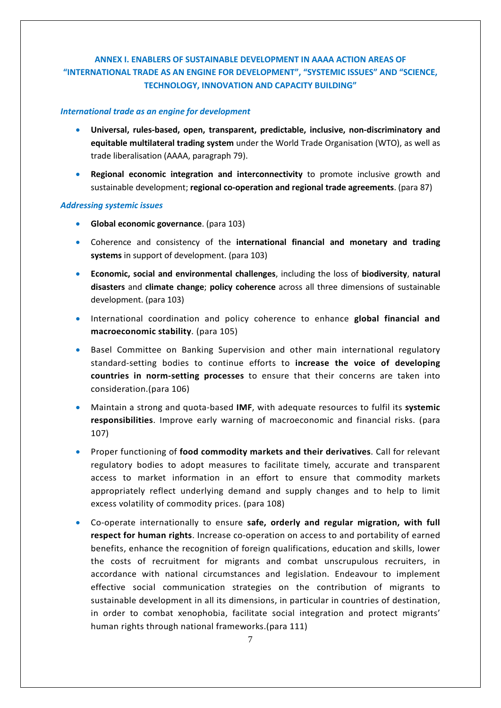## **ANNEX I. ENABLERS OF SUSTAINABLE DEVELOPMENT IN AAAA ACTION AREAS OF "INTERNATIONAL TRADE AS AN ENGINE FOR DEVELOPMENT", "SYSTEMIC ISSUES" AND "SCIENCE, TECHNOLOGY, INNOVATION AND CAPACITY BUILDING"**

## *International trade as an engine for development*

- **Universal, rules-based, open, transparent, predictable, inclusive, non-discriminatory and equitable multilateral trading system** under the World Trade Organisation (WTO), as well as trade liberalisation (AAAA, paragraph 79).
- **Regional economic integration and interconnectivity** to promote inclusive growth and sustainable development; **regional co-operation and regional trade agreements**. (para 87)

#### *Addressing systemic issues*

- **Global economic governance**. (para 103)
- Coherence and consistency of the **international financial and monetary and trading systems** in support of development. (para 103)
- **Economic, social and environmental challenges**, including the loss of **biodiversity**, **natural disasters** and **climate change**; **policy coherence** across all three dimensions of sustainable development. (para 103)
- International coordination and policy coherence to enhance **global financial and macroeconomic stability**. (para 105)
- Basel Committee on Banking Supervision and other main international regulatory standard-setting bodies to continue efforts to **increase the voice of developing countries in norm-setting processes** to ensure that their concerns are taken into consideration.(para 106)
- Maintain a strong and quota-based **IMF**, with adequate resources to fulfil its **systemic responsibilities**. Improve early warning of macroeconomic and financial risks. (para 107)
- Proper functioning of **food commodity markets and their derivatives**. Call for relevant regulatory bodies to adopt measures to facilitate timely, accurate and transparent access to market information in an effort to ensure that commodity markets appropriately reflect underlying demand and supply changes and to help to limit excess volatility of commodity prices. (para 108)
- Co-operate internationally to ensure **safe, orderly and regular migration, with full respect for human rights**. Increase co-operation on access to and portability of earned benefits, enhance the recognition of foreign qualifications, education and skills, lower the costs of recruitment for migrants and combat unscrupulous recruiters, in accordance with national circumstances and legislation. Endeavour to implement effective social communication strategies on the contribution of migrants to sustainable development in all its dimensions, in particular in countries of destination, in order to combat xenophobia, facilitate social integration and protect migrants' human rights through national frameworks.(para 111)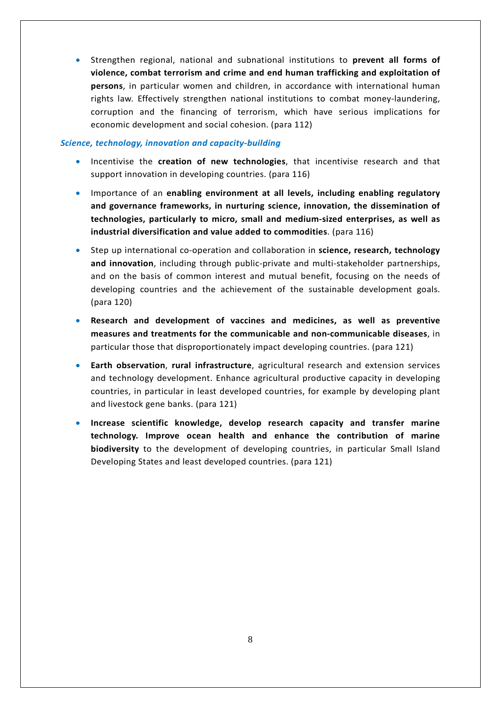• Strengthen regional, national and subnational institutions to **prevent all forms of violence, combat terrorism and crime and end human trafficking and exploitation of persons**, in particular women and children, in accordance with international human rights law. Effectively strengthen national institutions to combat money-laundering, corruption and the financing of terrorism, which have serious implications for economic development and social cohesion. (para 112)

## *Science, technology, innovation and capacity-building*

- Incentivise the **creation of new technologies**, that incentivise research and that support innovation in developing countries. (para 116)
- Importance of an **enabling environment at all levels, including enabling regulatory and governance frameworks, in nurturing science, innovation, the dissemination of technologies, particularly to micro, small and medium-sized enterprises, as well as industrial diversification and value added to commodities**. (para 116)
- Step up international co-operation and collaboration in **science, research, technology and innovation**, including through public-private and multi-stakeholder partnerships, and on the basis of common interest and mutual benefit, focusing on the needs of developing countries and the achievement of the sustainable development goals. (para 120)
- **Research and development of vaccines and medicines, as well as preventive measures and treatments for the communicable and non-communicable diseases**, in particular those that disproportionately impact developing countries. (para 121)
- **Earth observation**, **rural infrastructure**, agricultural research and extension services and technology development. Enhance agricultural productive capacity in developing countries, in particular in least developed countries, for example by developing plant and livestock gene banks. (para 121)
- **Increase scientific knowledge, develop research capacity and transfer marine technology. Improve ocean health and enhance the contribution of marine biodiversity** to the development of developing countries, in particular Small Island Developing States and least developed countries. (para 121)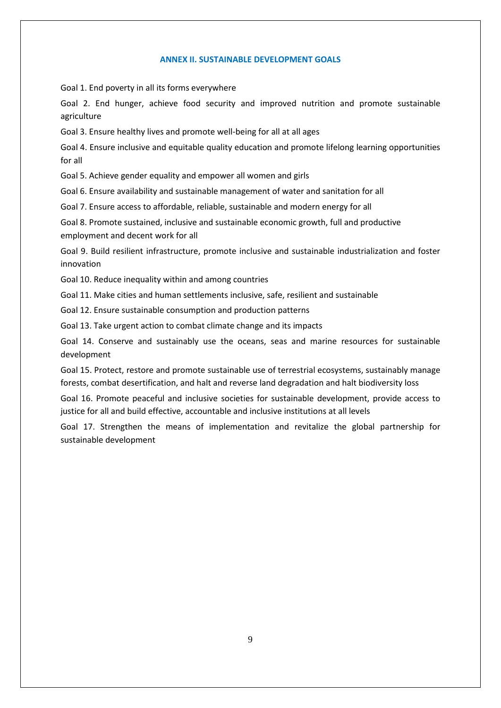## **ANNEX II. SUSTAINABLE DEVELOPMENT GOALS**

Goal 1. End poverty in all its forms everywhere

Goal 2. End hunger, achieve food security and improved nutrition and promote sustainable agriculture

Goal 3. Ensure healthy lives and promote well-being for all at all ages

Goal 4. Ensure inclusive and equitable quality education and promote lifelong learning opportunities for all

Goal 5. Achieve gender equality and empower all women and girls

Goal 6. Ensure availability and sustainable management of water and sanitation for all

Goal 7. Ensure access to affordable, reliable, sustainable and modern energy for all

Goal 8. Promote sustained, inclusive and sustainable economic growth, full and productive employment and decent work for all

Goal 9. Build resilient infrastructure, promote inclusive and sustainable industrialization and foster innovation

Goal 10. Reduce inequality within and among countries

Goal 11. Make cities and human settlements inclusive, safe, resilient and sustainable

Goal 12. Ensure sustainable consumption and production patterns

Goal 13. Take urgent action to combat climate change and its impacts

Goal 14. Conserve and sustainably use the oceans, seas and marine resources for sustainable development

Goal 15. Protect, restore and promote sustainable use of terrestrial ecosystems, sustainably manage forests, combat desertification, and halt and reverse land degradation and halt biodiversity loss

Goal 16. Promote peaceful and inclusive societies for sustainable development, provide access to justice for all and build effective, accountable and inclusive institutions at all levels

Goal 17. Strengthen the means of implementation and revitalize the global partnership for sustainable development